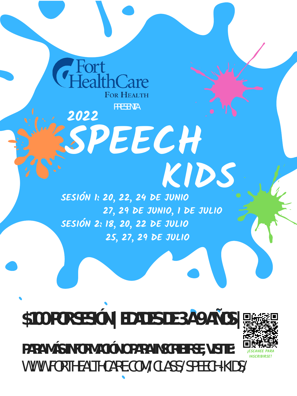

**27, 29 DE JUNIO, 1 DE JULIO SESIÓN 2: 18, 20, 22 DE JULIO 25, 27, 29 DE JULIO**

**PARA MÁS INFORMACIÓN O PARA INSCRIBIRSE, VISITE:** WWW.FORTHEALTHCARE.COM/CLASS/SPEECH-KIDS/



## **\$100 POR SESIÓN | EDADES DE 3 A 9 AÑOS |**

**INSCRIBIRSE!**